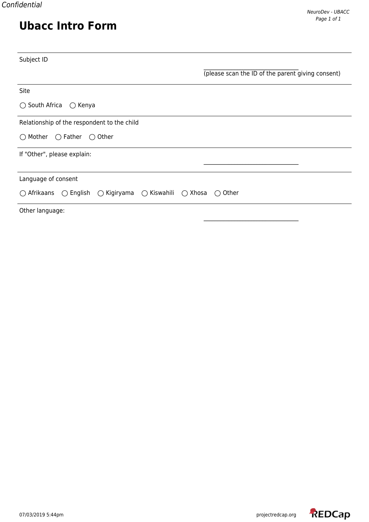# **Ubacc Intro Form**

| Subject ID                                                                    |                                                   |
|-------------------------------------------------------------------------------|---------------------------------------------------|
|                                                                               | (please scan the ID of the parent giving consent) |
| Site                                                                          |                                                   |
| $\bigcirc$ South Africa<br>$\bigcirc$ Kenya                                   |                                                   |
| Relationship of the respondent to the child                                   |                                                   |
| $\bigcirc$ Father<br>$\bigcirc$ Mother<br>$\bigcirc$ Other                    |                                                   |
| If "Other", please explain:                                                   |                                                   |
|                                                                               |                                                   |
| Language of consent                                                           |                                                   |
| ○ Kigiryama ○ Kiswahili ○ Xhosa<br>$\bigcirc$ Afrikaans<br>$\bigcirc$ English | Other<br>$\bigcirc$                               |
| Other language:                                                               |                                                   |

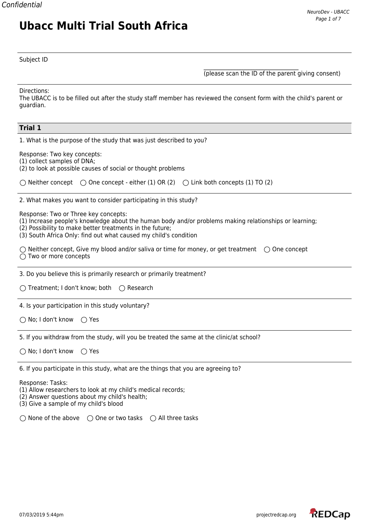# **Ubacc Multi Trial South Africa**

Subject ID

\_\_\_\_\_\_\_\_\_\_\_\_\_\_\_\_\_\_\_\_\_\_\_\_\_\_\_\_\_\_\_\_\_\_ (please scan the ID of the parent giving consent)

Directions:

The UBACC is to be filled out after the study staff member has reviewed the consent form with the child's parent or guardian.

| <b>Trial 1</b>                                                                                                                                                                                                                                                                 |
|--------------------------------------------------------------------------------------------------------------------------------------------------------------------------------------------------------------------------------------------------------------------------------|
| 1. What is the purpose of the study that was just described to you?                                                                                                                                                                                                            |
| Response: Two key concepts:<br>(1) collect samples of DNA;<br>(2) to look at possible causes of social or thought problems                                                                                                                                                     |
| $\bigcirc$ Neither concept $\bigcirc$ One concept - either (1) OR (2) $\bigcirc$ Link both concepts (1) TO (2)                                                                                                                                                                 |
| 2. What makes you want to consider participating in this study?                                                                                                                                                                                                                |
| Response: Two or Three key concepts:<br>(1) Increase people's knowledge about the human body and/or problems making relationships or learning;<br>(2) Possibility to make better treatments in the future;<br>(3) South Africa Only: find out what caused my child's condition |
| $\bigcirc$ Neither concept, Give my blood and/or saliva or time for money, or get treatment $\bigcirc$ One concept<br>$\bigcirc$ Two or more concepts                                                                                                                          |
| 3. Do you believe this is primarily research or primarily treatment?                                                                                                                                                                                                           |
| ○ Treatment; I don't know; both ○ Research                                                                                                                                                                                                                                     |
| 4. Is your participation in this study voluntary?                                                                                                                                                                                                                              |
| $\bigcirc$ No; I don't know<br>$\bigcirc$ Yes                                                                                                                                                                                                                                  |
| 5. If you withdraw from the study, will you be treated the same at the clinic/at school?                                                                                                                                                                                       |
| $\bigcirc$ No; I don't know<br>$\bigcirc$ Yes                                                                                                                                                                                                                                  |
| 6. If you participate in this study, what are the things that you are agreeing to?                                                                                                                                                                                             |
| Response: Tasks:<br>(1) Allow researchers to look at my child's medical records;<br>(2) Answer questions about my child's health;<br>(3) Give a sample of my child's blood                                                                                                     |
| $\bigcirc$ None of the above $\bigcirc$ One or two tasks $\bigcirc$ All three tasks                                                                                                                                                                                            |

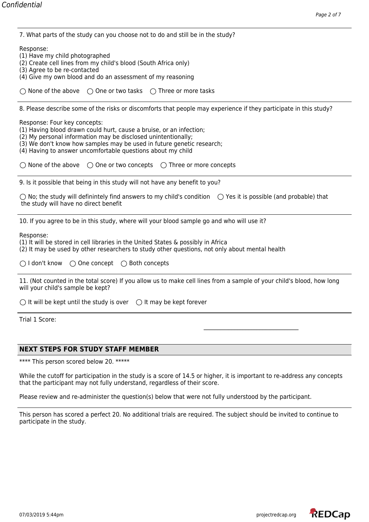7. What parts of the study can you choose not to do and still be in the study?

Response:

- (1) Have my child photographed
- (2) Create cell lines from my child's blood (South Africa only)
- (3) Agree to be re-contacted
- (4) Give my own blood and do an assessment of my reasoning

 $\bigcirc$  None of the above  $\bigcirc$  One or two tasks  $\bigcirc$  Three or more tasks

8. Please describe some of the risks or discomforts that people may experience if they participate in this study?

Response: Four key concepts:

(1) Having blood drawn could hurt, cause a bruise, or an infection;

- (2) My personal information may be disclosed unintentionally;
- (3) We don't know how samples may be used in future genetic research;
- (4) Having to answer uncomfortable questions about my child

 $\bigcirc$  None of the above  $\bigcirc$  One or two concepts  $\bigcirc$  Three or more concepts

9. Is it possible that being in this study will not have any benefit to you?

 $\bigcirc$  No; the study will definintely find answers to my child's condition  $\bigcirc$  Yes it is possible (and probable) that the study will have no direct benefit

10. If you agree to be in this study, where will your blood sample go and who will use it?

Response:

(1) It will be stored in cell libraries in the United States & possibly in Africa

(2) It may be used by other researchers to study other questions, not only about mental health

 $\bigcirc$  I don't know  $\bigcirc$  One concept  $\bigcirc$  Both concepts

11. (Not counted in the total score) If you allow us to make cell lines from a sample of your child's blood, how long will your child's sample be kept?

 $\bigcirc$  It will be kept until the study is over  $\bigcirc$  It may be kept forever

Trial 1 Score:

## **NEXT STEPS FOR STUDY STAFF MEMBER**

\*\*\*\* This person scored below 20. \*\*\*\*\*

While the cutoff for participation in the study is a score of 14.5 or higher, it is important to re-address any concepts that the participant may not fully understand, regardless of their score.

Please review and re-administer the question(s) below that were not fully understood by the participant.

This person has scored a perfect 20. No additional trials are required. The subject should be invited to continue to participate in the study.

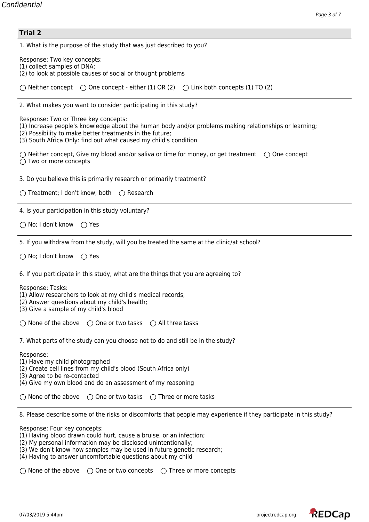| <b>Trial 2</b>                                                                                                                                                                                                                                                                                                                               |  |  |  |  |
|----------------------------------------------------------------------------------------------------------------------------------------------------------------------------------------------------------------------------------------------------------------------------------------------------------------------------------------------|--|--|--|--|
| 1. What is the purpose of the study that was just described to you?                                                                                                                                                                                                                                                                          |  |  |  |  |
| Response: Two key concepts:<br>(1) collect samples of DNA;<br>(2) to look at possible causes of social or thought problems                                                                                                                                                                                                                   |  |  |  |  |
| $\bigcirc$ Neither concept $\bigcirc$ One concept - either (1) OR (2) $\bigcirc$ Link both concepts (1) TO (2)                                                                                                                                                                                                                               |  |  |  |  |
| 2. What makes you want to consider participating in this study?                                                                                                                                                                                                                                                                              |  |  |  |  |
| Response: Two or Three key concepts:<br>(1) Increase people's knowledge about the human body and/or problems making relationships or learning;<br>(2) Possibility to make better treatments in the future;<br>(3) South Africa Only: find out what caused my child's condition                                                               |  |  |  |  |
| $\bigcirc$ Neither concept, Give my blood and/or saliva or time for money, or get treatment $\bigcirc$ One concept<br>$\bigcirc$ Two or more concepts                                                                                                                                                                                        |  |  |  |  |
| 3. Do you believe this is primarily research or primarily treatment?                                                                                                                                                                                                                                                                         |  |  |  |  |
| ○ Treatment; I don't know; both ○ Research                                                                                                                                                                                                                                                                                                   |  |  |  |  |
| 4. Is your participation in this study voluntary?                                                                                                                                                                                                                                                                                            |  |  |  |  |
| $\bigcirc$ No; I don't know<br>$\bigcirc$ Yes                                                                                                                                                                                                                                                                                                |  |  |  |  |
| 5. If you withdraw from the study, will you be treated the same at the clinic/at school?                                                                                                                                                                                                                                                     |  |  |  |  |
| $\bigcirc$ No; I don't know<br>$\bigcirc$ Yes                                                                                                                                                                                                                                                                                                |  |  |  |  |
| 6. If you participate in this study, what are the things that you are agreeing to?                                                                                                                                                                                                                                                           |  |  |  |  |
| Response: Tasks:<br>(1) Allow researchers to look at my child's medical records;<br>(2) Answer questions about my child's health;<br>(3) Give a sample of my child's blood                                                                                                                                                                   |  |  |  |  |
| $\bigcirc$ None of the above<br>$\bigcirc$ One or two tasks $\bigcirc$ All three tasks                                                                                                                                                                                                                                                       |  |  |  |  |
| 7. What parts of the study can you choose not to do and still be in the study?                                                                                                                                                                                                                                                               |  |  |  |  |
| Response:<br>(1) Have my child photographed<br>(2) Create cell lines from my child's blood (South Africa only)<br>(3) Agree to be re-contacted<br>(4) Give my own blood and do an assessment of my reasoning                                                                                                                                 |  |  |  |  |
| None of the above<br>$\bigcirc$ One or two tasks<br>$\bigcirc$ Three or more tasks                                                                                                                                                                                                                                                           |  |  |  |  |
| 8. Please describe some of the risks or discomforts that people may experience if they participate in this study?                                                                                                                                                                                                                            |  |  |  |  |
| Response: Four key concepts:<br>(1) Having blood drawn could hurt, cause a bruise, or an infection;<br>(2) My personal information may be disclosed unintentionally;<br>(3) We don't know how samples may be used in future genetic research;<br>(4) Having to answer uncomfortable questions about my child<br>$\bigcirc$ None of the above |  |  |  |  |
| $\bigcirc$ One or two concepts<br>$\bigcirc$ Three or more concepts                                                                                                                                                                                                                                                                          |  |  |  |  |

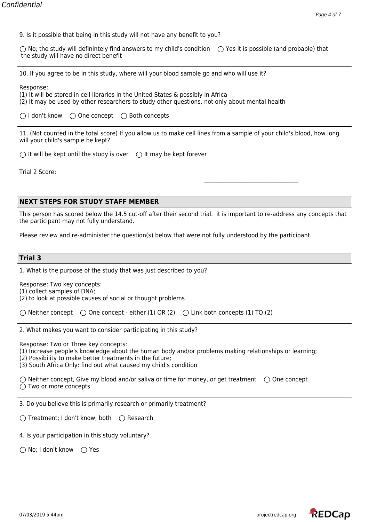9. Is it possible that being in this study will not have any benefit to you?

 $\bigcirc$  No; the study will definintely find answers to my child's condition  $\bigcirc$  Yes it is possible (and probable) that the study will have no direct benefit

10. If you agree to be in this study, where will your blood sample go and who will use it?

Response:

(1) It will be stored in cell libraries in the United States & possibly in Africa (2) It may be used by other researchers to study other questions, not only about mental health

 $\bigcirc$  I don't know  $\bigcirc$  One concept  $\bigcirc$  Both concepts

11. (Not counted in the total score) If you allow us to make cell lines from a sample of your child's blood, how long will your child's sample be kept?

 $\bigcirc$  It will be kept until the study is over  $\bigcirc$  It may be kept forever

Trial 2 Score:

#### **NEXT STEPS FOR STUDY STAFF MEMBER**

This person has scored below the 14.5 cut-off after their second trial. it is important to re-address any concepts that the participant may not fully understand.

Please review and re-administer the question(s) below that were not fully understood by the participant.

### **Trial 3**

| 1. What is the purpose of the study that was just described to you? |
|---------------------------------------------------------------------|
|---------------------------------------------------------------------|

Response: Two key concepts:

(1) collect samples of DNA;

(2) to look at possible causes of social or thought problems

 $\bigcirc$  Neither concept  $\bigcirc$  One concept - either (1) OR (2)  $\bigcirc$  Link both concepts (1) TO (2)

2. What makes you want to consider participating in this study?

Response: Two or Three key concepts:

(1) Increase people's knowledge about the human body and/or problems making relationships or learning;

(2) Possibility to make better treatments in the future;

(3) South Africa Only: find out what caused my child's condition

 $\bigcirc$  Neither concept, Give my blood and/or saliva or time for money, or get treatment  $\bigcirc$  One concept  $\bigcap$  Two or more concepts

3. Do you believe this is primarily research or primarily treatment?

 $\bigcirc$  Treatment; I don't know; both  $\bigcirc$  Research

4. Is your participation in this study voluntary?

 $\bigcirc$  No; I don't know  $\bigcirc$  Yes

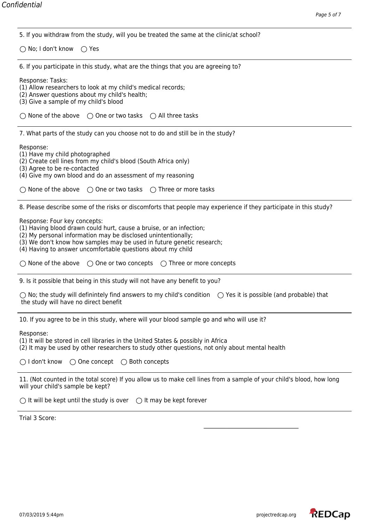| Page 5 017                                                                                                                                                                                                                                                                                                   |
|--------------------------------------------------------------------------------------------------------------------------------------------------------------------------------------------------------------------------------------------------------------------------------------------------------------|
| 5. If you withdraw from the study, will you be treated the same at the clinic/at school?                                                                                                                                                                                                                     |
| $\bigcirc$ No; I don't know $\bigcirc$ Yes                                                                                                                                                                                                                                                                   |
| 6. If you participate in this study, what are the things that you are agreeing to?                                                                                                                                                                                                                           |
| Response: Tasks:<br>(1) Allow researchers to look at my child's medical records;<br>(2) Answer questions about my child's health;<br>(3) Give a sample of my child's blood                                                                                                                                   |
| $\bigcirc$ None of the above $\bigcirc$ One or two tasks $\bigcirc$ All three tasks                                                                                                                                                                                                                          |
| 7. What parts of the study can you choose not to do and still be in the study?                                                                                                                                                                                                                               |
| Response:<br>(1) Have my child photographed<br>(2) Create cell lines from my child's blood (South Africa only)<br>(3) Agree to be re-contacted<br>(4) Give my own blood and do an assessment of my reasoning<br>$\bigcirc$ None of the above $\bigcirc$ One or two tasks $\bigcirc$ Three or more tasks      |
| 8. Please describe some of the risks or discomforts that people may experience if they participate in this study?                                                                                                                                                                                            |
| Response: Four key concepts:<br>(1) Having blood drawn could hurt, cause a bruise, or an infection;<br>(2) My personal information may be disclosed unintentionally;<br>(3) We don't know how samples may be used in future genetic research;<br>(4) Having to answer uncomfortable questions about my child |
| $\bigcirc$ None of the above $\bigcirc$ One or two concepts $\bigcirc$ Three or more concepts                                                                                                                                                                                                                |
| 9. Is it possible that being in this study will not have any benefit to you?                                                                                                                                                                                                                                 |
| $\bigcirc$ No; the study will definintely find answers to my child's condition $\bigcirc$ Yes it is possible (and probable) that<br>the study will have no direct benefit                                                                                                                                    |
| 10. If you agree to be in this study, where will your blood sample go and who will use it?                                                                                                                                                                                                                   |
| Response:<br>(1) It will be stored in cell libraries in the United States & possibly in Africa<br>(2) It may be used by other researchers to study other questions, not only about mental health                                                                                                             |
| $\bigcap$ I don't know<br>$\bigcirc$ One concept $\bigcirc$ Both concepts                                                                                                                                                                                                                                    |
| 11. (Not counted in the total score) If you allow us to make cell lines from a sample of your child's blood, how long<br>will your child's sample be kept?                                                                                                                                                   |
| $\bigcirc$ It will be kept until the study is over $\bigcirc$ It may be kept forever                                                                                                                                                                                                                         |
| Trial 3 Score:                                                                                                                                                                                                                                                                                               |
|                                                                                                                                                                                                                                                                                                              |

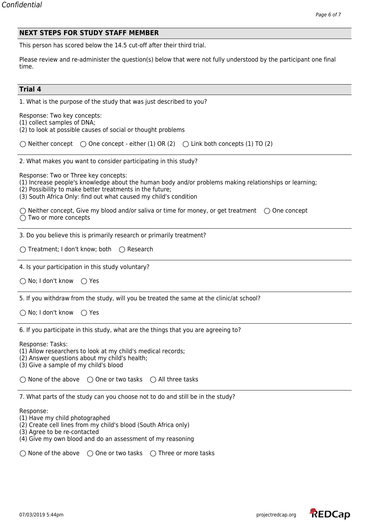|--|

This person has scored below the 14.5 cut-off after their third trial.

Please review and re-administer the question(s) below that were not fully understood by the participant one final time.

# **Trial 4**

| 11 1 1 1 4                                                                                                                                                                                                                                                                     |  |  |  |  |  |
|--------------------------------------------------------------------------------------------------------------------------------------------------------------------------------------------------------------------------------------------------------------------------------|--|--|--|--|--|
| 1. What is the purpose of the study that was just described to you?                                                                                                                                                                                                            |  |  |  |  |  |
| Response: Two key concepts:<br>(1) collect samples of DNA;<br>(2) to look at possible causes of social or thought problems                                                                                                                                                     |  |  |  |  |  |
| $\bigcirc$ Neither concept $\bigcirc$ One concept - either (1) OR (2) $\bigcirc$ Link both concepts (1) TO (2)                                                                                                                                                                 |  |  |  |  |  |
| 2. What makes you want to consider participating in this study?                                                                                                                                                                                                                |  |  |  |  |  |
| Response: Two or Three key concepts:<br>(1) Increase people's knowledge about the human body and/or problems making relationships or learning;<br>(2) Possibility to make better treatments in the future;<br>(3) South Africa Only: find out what caused my child's condition |  |  |  |  |  |
| $\bigcirc$ Neither concept, Give my blood and/or saliva or time for money, or get treatment $\bigcirc$ One concept<br>$\bigcirc$ Two or more concepts                                                                                                                          |  |  |  |  |  |
| 3. Do you believe this is primarily research or primarily treatment?                                                                                                                                                                                                           |  |  |  |  |  |
| $\bigcirc$ Treatment; I don't know; both $\bigcirc$ Research                                                                                                                                                                                                                   |  |  |  |  |  |
| 4. Is your participation in this study voluntary?                                                                                                                                                                                                                              |  |  |  |  |  |
| $\bigcirc$ No; I don't know<br>$\bigcirc$ Yes                                                                                                                                                                                                                                  |  |  |  |  |  |
| 5. If you withdraw from the study, will you be treated the same at the clinic/at school?                                                                                                                                                                                       |  |  |  |  |  |
| $\bigcirc$ No; I don't know<br>$\bigcirc$ Yes                                                                                                                                                                                                                                  |  |  |  |  |  |
| 6. If you participate in this study, what are the things that you are agreeing to?                                                                                                                                                                                             |  |  |  |  |  |
| Response: Tasks:<br>(1) Allow researchers to look at my child's medical records;<br>(2) Answer questions about my child's health;<br>(3) Give a sample of my child's blood                                                                                                     |  |  |  |  |  |
| $\bigcirc$ None of the above $\bigcirc$ One or two tasks $\bigcirc$ All three tasks                                                                                                                                                                                            |  |  |  |  |  |
| 7. What parts of the study can you choose not to do and still be in the study?                                                                                                                                                                                                 |  |  |  |  |  |
| Response:<br>(1) Have my child photographed<br>(2) Create cell lines from my child's blood (South Africa only)<br>(3) Agree to be re-contacted<br>(4) Give my own blood and do an assessment of my reasoning                                                                   |  |  |  |  |  |
| $\bigcirc$ None of the above $\bigcirc$ One or two tasks $\bigcirc$ Three or more tasks                                                                                                                                                                                        |  |  |  |  |  |

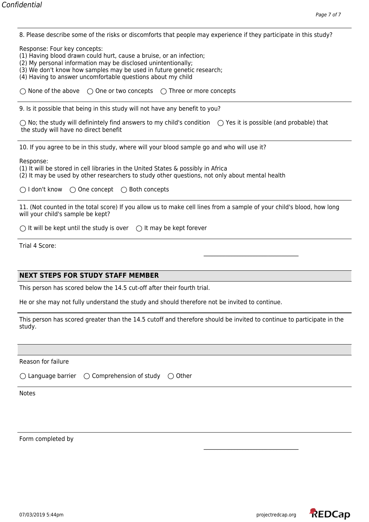8. Please describe some of the risks or discomforts that people may experience if they participate in this study?

Response: Four key concepts:

(1) Having blood drawn could hurt, cause a bruise, or an infection;

(2) My personal information may be disclosed unintentionally;

(3) We don't know how samples may be used in future genetic research;

(4) Having to answer uncomfortable questions about my child

 $\bigcirc$  None of the above  $\bigcirc$  One or two concepts  $\bigcirc$  Three or more concepts

9. Is it possible that being in this study will not have any benefit to you?

 $\bigcirc$  No; the study will definintely find answers to my child's condition  $\bigcirc$  Yes it is possible (and probable) that the study will have no direct benefit

10. If you agree to be in this study, where will your blood sample go and who will use it?

Response:

(1) It will be stored in cell libraries in the United States & possibly in Africa (2) It may be used by other researchers to study other questions, not only about mental health

 $\bigcirc$  I don't know  $\bigcirc$  One concept  $\bigcirc$  Both concepts

11. (Not counted in the total score) If you allow us to make cell lines from a sample of your child's blood, how long will your child's sample be kept?

 $\bigcirc$  It will be kept until the study is over  $\bigcirc$  It may be kept forever

Trial 4 Score:

## **NEXT STEPS FOR STUDY STAFF MEMBER**

This person has scored below the 14.5 cut-off after their fourth trial.

He or she may not fully understand the study and should therefore not be invited to continue.

This person has scored greater than the 14.5 cutoff and therefore should be invited to continue to participate in the study.

Reason for failure

 $\bigcirc$  Language barrier  $\bigcirc$  Comprehension of study  $\bigcirc$  Other

Notes

Form completed by

\_\_\_\_\_\_\_\_\_\_\_\_\_\_\_\_\_\_\_\_\_\_\_\_\_\_\_\_\_\_\_\_\_\_

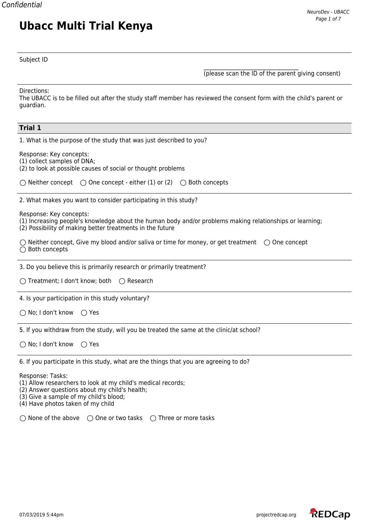## Subject ID

**Ubacc Multi Trial Kenya**

\_\_\_\_\_\_\_\_\_\_\_\_\_\_\_\_\_\_\_\_\_\_\_\_\_\_\_\_\_\_\_\_\_\_ (please scan the ID of the parent giving consent)

Directions:

The UBACC is to be filled out after the study staff member has reviewed the consent form with the child's parent or guardian.

| <b>Trial 1</b>                                                                                                                                                                                                   |
|------------------------------------------------------------------------------------------------------------------------------------------------------------------------------------------------------------------|
| 1. What is the purpose of the study that was just described to you?                                                                                                                                              |
| Response: Key concepts:<br>(1) collect samples of DNA;<br>(2) to look at possible causes of social or thought problems                                                                                           |
| $\bigcirc$ Neither concept $\bigcirc$ One concept - either (1) or (2) $\bigcirc$ Both concepts                                                                                                                   |
| 2. What makes you want to consider participating in this study?                                                                                                                                                  |
| Response: Key concepts:<br>(1) Increasing people's knowledge about the human body and/or problems making relationships or learning;<br>(2) Possibility of making better treatments in the future                 |
| $\bigcirc$ Neither concept, Give my blood and/or saliva or time for money, or get treatment $\bigcirc$ One concept<br>$\bigcirc$ Both concepts                                                                   |
| 3. Do you believe this is primarily research or primarily treatment?                                                                                                                                             |
| $\bigcirc$ Treatment; I don't know; both<br>$\bigcirc$ Research                                                                                                                                                  |
| 4. Is your participation in this study voluntary?                                                                                                                                                                |
| $\bigcirc$ No; I don't know<br>$\bigcirc$ Yes                                                                                                                                                                    |
| 5. If you withdraw from the study, will you be treated the same at the clinic/at school?                                                                                                                         |
| $\bigcap$ No; I don't know<br>$\bigcirc$ Yes                                                                                                                                                                     |
| 6. If you participate in this study, what are the things that you are agreeing to do?                                                                                                                            |
| Response: Tasks:<br>(1) Allow researchers to look at my child's medical records;<br>(2) Answer questions about my child's health;<br>(3) Give a sample of my child's blood;<br>(4) Have photos taken of my child |

 $\bigcirc$  None of the above  $\bigcirc$  One or two tasks  $\bigcirc$  Three or more tasks

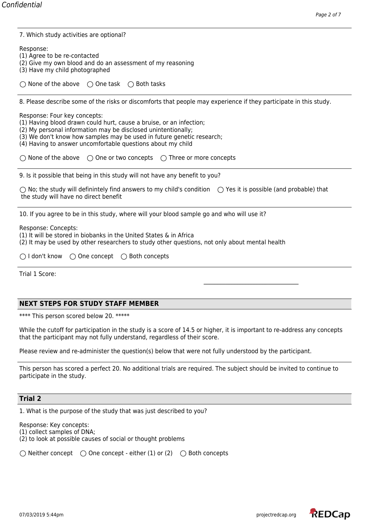| 7. Which study activities are optional? |
|-----------------------------------------|
|-----------------------------------------|

Response:

(1) Agree to be re-contacted

- (2) Give my own blood and do an assessment of my reasoning
- (3) Have my child photographed

 $\bigcirc$  None of the above  $\bigcirc$  One task  $\bigcirc$  Both tasks

8. Please describe some of the risks or discomforts that people may experience if they participate in this study.

Response: Four key concepts:

(1) Having blood drawn could hurt, cause a bruise, or an infection;

(2) My personal information may be disclosed unintentionally;

(3) We don't know how samples may be used in future genetic research;

(4) Having to answer uncomfortable questions about my child

 $\bigcirc$  None of the above  $\bigcirc$  One or two concepts  $\bigcirc$  Three or more concepts

9. Is it possible that being in this study will not have any benefit to you?

 $\bigcirc$  No; the study will definintely find answers to my child's condition  $\bigcirc$  Yes it is possible (and probable) that the study will have no direct benefit

10. If you agree to be in this study, where will your blood sample go and who will use it?

Response: Concepts:

(1) It will be stored in biobanks in the United States & in Africa

(2) It may be used by other researchers to study other questions, not only about mental health

Trial 1 Score:

## **NEXT STEPS FOR STUDY STAFF MEMBER**

\*\*\*\* This person scored below 20. \*\*\*\*\*

While the cutoff for participation in the study is a score of 14.5 or higher, it is important to re-address any concepts that the participant may not fully understand, regardless of their score.

Please review and re-administer the question(s) below that were not fully understood by the participant.

This person has scored a perfect 20. No additional trials are required. The subject should be invited to continue to participate in the study.

#### **Trial 2**

1. What is the purpose of the study that was just described to you?

Response: Key concepts:

(1) collect samples of DNA;

(2) to look at possible causes of social or thought problems

 $\bigcirc$  Neither concept  $\bigcirc$  One concept - either (1) or (2)  $\bigcirc$  Both concepts

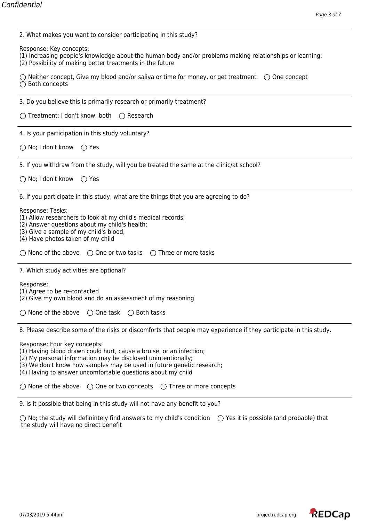| 2. What makes you want to consider participating in this study?                                                                                                                                                                                                                                              |
|--------------------------------------------------------------------------------------------------------------------------------------------------------------------------------------------------------------------------------------------------------------------------------------------------------------|
| Response: Key concepts:<br>(1) Increasing people's knowledge about the human body and/or problems making relationships or learning;<br>(2) Possibility of making better treatments in the future                                                                                                             |
| $\bigcirc$ Neither concept, Give my blood and/or saliva or time for money, or get treatment $\bigcirc$ One concept<br>$\bigcirc$ Both concepts                                                                                                                                                               |
| 3. Do you believe this is primarily research or primarily treatment?                                                                                                                                                                                                                                         |
| $\bigcirc$ Treatment; I don't know; both $\bigcirc$ Research                                                                                                                                                                                                                                                 |
| 4. Is your participation in this study voluntary?                                                                                                                                                                                                                                                            |
| $\bigcirc$ No; I don't know<br>◯ Yes                                                                                                                                                                                                                                                                         |
| 5. If you withdraw from the study, will you be treated the same at the clinic/at school?                                                                                                                                                                                                                     |
| $\bigcirc$ No; I don't know<br>$\bigcirc$ Yes                                                                                                                                                                                                                                                                |
| 6. If you participate in this study, what are the things that you are agreeing to do?                                                                                                                                                                                                                        |
| Response: Tasks:<br>(1) Allow researchers to look at my child's medical records;<br>(2) Answer questions about my child's health;<br>(3) Give a sample of my child's blood;<br>(4) Have photos taken of my child                                                                                             |
| $\bigcirc$ None of the above $\bigcirc$ One or two tasks $\bigcirc$ Three or more tasks                                                                                                                                                                                                                      |
| 7. Which study activities are optional?                                                                                                                                                                                                                                                                      |
| Response:<br>(1) Agree to be re-contacted<br>(2) Give my own blood and do an assessment of my reasoning                                                                                                                                                                                                      |
| $\bigcirc$ None of the above $\bigcirc$ One task $\bigcirc$ Both tasks                                                                                                                                                                                                                                       |
| 8. Please describe some of the risks or discomforts that people may experience if they participate in this study.                                                                                                                                                                                            |
| Response: Four key concepts:<br>(1) Having blood drawn could hurt, cause a bruise, or an infection;<br>(2) My personal information may be disclosed unintentionally;<br>(3) We don't know how samples may be used in future genetic research;<br>(4) Having to answer uncomfortable questions about my child |
| $\bigcirc$ None of the above<br>$\bigcirc$ One or two concepts $\bigcirc$ Three or more concepts                                                                                                                                                                                                             |
| 9. Is it possible that being in this study will not have any benefit to you?                                                                                                                                                                                                                                 |

No; the study will definintely find answers to my child's condition  $\;\;\bigcirc$  Yes it is possible (and probable) that the study will have no direct benefit

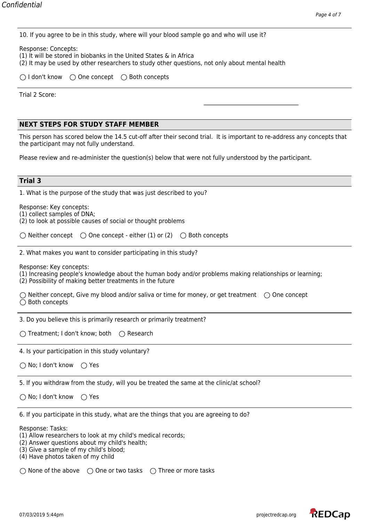|  |  | 10. If you agree to be in this study, where will your blood sample go and who will use it? |
|--|--|--------------------------------------------------------------------------------------------|
|  |  |                                                                                            |

| Response: Concepts:                                                                            |  |
|------------------------------------------------------------------------------------------------|--|
| (1) It will be stored in biobanks in the United States & in Africa                             |  |
| (2) It may be used by other researchers to study other questions, not only about mental health |  |

| $\bigcirc$ I don't know | $\bigcirc$ One concept | $\bigcirc$ Both concepts |
|-------------------------|------------------------|--------------------------|
|                         |                        |                          |

Trial 2 Score:

## **NEXT STEPS FOR STUDY STAFF MEMBER**

This person has scored below the 14.5 cut-off after their second trial. It is important to re-address any concepts that the participant may not fully understand.

\_\_\_\_\_\_\_\_\_\_\_\_\_\_\_\_\_\_\_\_\_\_\_\_\_\_\_\_\_\_\_\_\_\_

Please review and re-administer the question(s) below that were not fully understood by the participant.

## **Trial 3**

| 1. What is the purpose of the study that was just described to you?                                                                                                                                              |
|------------------------------------------------------------------------------------------------------------------------------------------------------------------------------------------------------------------|
| Response: Key concepts:<br>(1) collect samples of DNA;<br>(2) to look at possible causes of social or thought problems                                                                                           |
| $\bigcirc$ Neither concept $\bigcirc$ One concept - either (1) or (2)<br>$\bigcirc$ Both concepts                                                                                                                |
| 2. What makes you want to consider participating in this study?                                                                                                                                                  |
| Response: Key concepts:<br>(1) Increasing people's knowledge about the human body and/or problems making relationships or learning;<br>(2) Possibility of making better treatments in the future                 |
| $\bigcirc$ Neither concept, Give my blood and/or saliva or time for money, or get treatment $\bigcirc$ One concept<br>$\bigcirc$ Both concepts                                                                   |
| 3. Do you believe this is primarily research or primarily treatment?                                                                                                                                             |
| ◯ Treatment; I don't know; both ◯ Research                                                                                                                                                                       |
| 4. Is your participation in this study voluntary?                                                                                                                                                                |
| $\bigcirc$ No; I don't know<br>$\bigcirc$ Yes                                                                                                                                                                    |
| 5. If you withdraw from the study, will you be treated the same at the clinic/at school?                                                                                                                         |
| ○ No; I don't know<br>$\bigcirc$ Yes                                                                                                                                                                             |
| 6. If you participate in this study, what are the things that you are agreeing to do?                                                                                                                            |
| Response: Tasks:<br>(1) Allow researchers to look at my child's medical records;<br>(2) Answer questions about my child's health;<br>(3) Give a sample of my child's blood;<br>(4) Have photos taken of my child |
| $\bigcirc$ None of the above $\bigcirc$ One or two tasks $\bigcirc$ Three or more tasks                                                                                                                          |

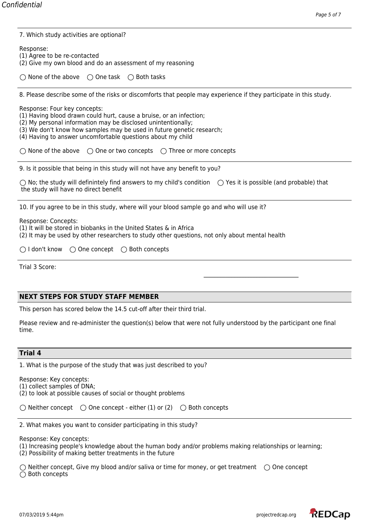| 7. Which study activities are optional?                                                                                                                                                                                                                                                                      |
|--------------------------------------------------------------------------------------------------------------------------------------------------------------------------------------------------------------------------------------------------------------------------------------------------------------|
| Response:<br>(1) Agree to be re-contacted<br>(2) Give my own blood and do an assessment of my reasoning                                                                                                                                                                                                      |
| $\bigcirc$ None of the above $\bigcirc$ One task $\bigcirc$ Both tasks                                                                                                                                                                                                                                       |
| 8. Please describe some of the risks or discomforts that people may experience if they participate in this study.                                                                                                                                                                                            |
| Response: Four key concepts:<br>(1) Having blood drawn could hurt, cause a bruise, or an infection;<br>(2) My personal information may be disclosed unintentionally;<br>(3) We don't know how samples may be used in future genetic research;<br>(4) Having to answer uncomfortable questions about my child |
| $\bigcirc$ None of the above $\bigcirc$ One or two concepts $\bigcirc$ Three or more concepts                                                                                                                                                                                                                |
| 9. Is it possible that being in this study will not have any benefit to you?                                                                                                                                                                                                                                 |
| $\bigcirc$ No; the study will definintely find answers to my child's condition $\bigcirc$ Yes it is possible (and probable) that<br>the study will have no direct benefit                                                                                                                                    |
| 10. If you agree to be in this study, where will your blood sample go and who will use it?                                                                                                                                                                                                                   |
| Response: Concepts:<br>(1) It will be stored in biobanks in the United States & in Africa<br>(2) It may be used by other researchers to study other questions, not only about mental health                                                                                                                  |
| $\bigcirc$ I don't know<br>$\bigcirc$ One concept $\bigcirc$ Both concepts                                                                                                                                                                                                                                   |
| Trial 3 Score:                                                                                                                                                                                                                                                                                               |
|                                                                                                                                                                                                                                                                                                              |
| <b>NEXT STEPS FOR STUDY STAFF MEMBER</b>                                                                                                                                                                                                                                                                     |
| This person has scored below the 14.5 cut-off after their third trial.                                                                                                                                                                                                                                       |
| Please review and re-administer the question(s) below that were not fully understood by the participant one final<br>time.                                                                                                                                                                                   |
| <b>Trial 4</b>                                                                                                                                                                                                                                                                                               |
| 1. What is the purpose of the study that was just described to you?                                                                                                                                                                                                                                          |

Response: Key concepts: (1) collect samples of DNA;

(2) to look at possible causes of social or thought problems

 $\bigcirc$  Neither concept  $\bigcirc$  One concept - either (1) or (2)  $\bigcirc$  Both concepts

2. What makes you want to consider participating in this study?

Response: Key concepts:

(1) Increasing people's knowledge about the human body and/or problems making relationships or learning;

(2) Possibility of making better treatments in the future

 $\bigcirc$  Neither concept, Give my blood and/or saliva or time for money, or get treatment  $\bigcirc$  One concept  $\overline{O}$  Both concepts

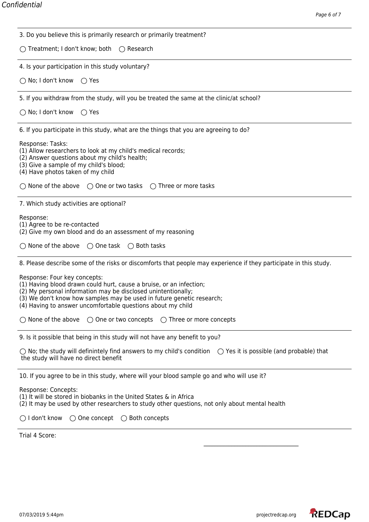| 3. Do you believe this is primarily research or primarily treatment?                                                                                                                                                                                                                                                                                                                                          |
|---------------------------------------------------------------------------------------------------------------------------------------------------------------------------------------------------------------------------------------------------------------------------------------------------------------------------------------------------------------------------------------------------------------|
| ◯ Treatment; I don't know; both ◯ Research                                                                                                                                                                                                                                                                                                                                                                    |
| 4. Is your participation in this study voluntary?                                                                                                                                                                                                                                                                                                                                                             |
| ◯ No; I don't know<br>$\bigcirc$ Yes                                                                                                                                                                                                                                                                                                                                                                          |
| 5. If you withdraw from the study, will you be treated the same at the clinic/at school?                                                                                                                                                                                                                                                                                                                      |
| $\bigcirc$ No; I don't know<br>◯ Yes                                                                                                                                                                                                                                                                                                                                                                          |
| 6. If you participate in this study, what are the things that you are agreeing to do?                                                                                                                                                                                                                                                                                                                         |
| Response: Tasks:<br>(1) Allow researchers to look at my child's medical records;<br>(2) Answer questions about my child's health;<br>(3) Give a sample of my child's blood;<br>(4) Have photos taken of my child                                                                                                                                                                                              |
| $\bigcirc$ None of the above $\bigcirc$ One or two tasks $\bigcirc$ Three or more tasks                                                                                                                                                                                                                                                                                                                       |
| 7. Which study activities are optional?                                                                                                                                                                                                                                                                                                                                                                       |
| Response:<br>(1) Agree to be re-contacted<br>(2) Give my own blood and do an assessment of my reasoning                                                                                                                                                                                                                                                                                                       |
| $\bigcirc$ None of the above $\bigcirc$ One task $\bigcirc$ Both tasks                                                                                                                                                                                                                                                                                                                                        |
| 8. Please describe some of the risks or discomforts that people may experience if they participate in this study.                                                                                                                                                                                                                                                                                             |
| Response: Four key concepts:<br>(1) Having blood drawn could hurt, cause a bruise, or an infection;<br>(2) My personal information may be disclosed unintentionally;<br>(3) We don't know how samples may be used in future genetic research;<br>(4) Having to answer uncomfortable questions about my child<br>$\bigcirc$ None of the above $\bigcirc$ One or two concepts $\bigcirc$ Three or more concepts |
| 9. Is it possible that being in this study will not have any benefit to you?                                                                                                                                                                                                                                                                                                                                  |
| $\bigcirc$ No; the study will definintely find answers to my child's condition $\bigcirc$ Yes it is possible (and probable) that<br>the study will have no direct benefit                                                                                                                                                                                                                                     |
| 10. If you agree to be in this study, where will your blood sample go and who will use it?                                                                                                                                                                                                                                                                                                                    |
| Response: Concepts:<br>(1) It will be stored in biobanks in the United States & in Africa<br>(2) It may be used by other researchers to study other questions, not only about mental health                                                                                                                                                                                                                   |
| $\bigcirc$ I don't know<br>$\bigcirc$ One concept $\bigcirc$ Both concepts                                                                                                                                                                                                                                                                                                                                    |
| $T_{\text{right}}$ $A$ $C_{\text{right}}$                                                                                                                                                                                                                                                                                                                                                                     |

Trial 4 Score: